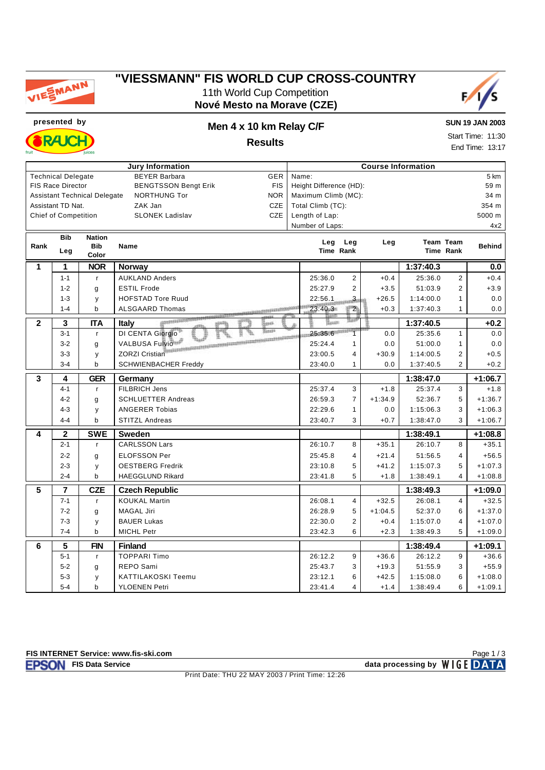

# **"VIESSMANN" FIS WORLD CUP CROSS-COUNTRY**

11th World Cup Competition **Nové Mesto na Morave (CZE)**



**RAIC** 

#### **presented by Men 4 x 10 km Relay C/F Results**

**SUN 19 JAN 2003** Start Time: 11:30 End Time: 13:17

|                         |                             |                                     | <b>Jury Information</b>                                     |                                 |           | <b>Course Information</b> |                        |                      |
|-------------------------|-----------------------------|-------------------------------------|-------------------------------------------------------------|---------------------------------|-----------|---------------------------|------------------------|----------------------|
|                         | <b>Technical Delegate</b>   |                                     | <b>BEYER Barbara</b><br><b>GER</b>                          | Name:                           |           |                           |                        | 5 km                 |
|                         | FIS Race Director           |                                     | <b>FIS</b><br><b>BENGTSSON Bengt Erik</b>                   | Height Difference (HD):         |           |                           |                        | 59 m                 |
|                         |                             | <b>Assistant Technical Delegate</b> | <b>NORTHUNG Tor</b><br><b>NOR</b>                           | Maximum Climb (MC):             |           |                           |                        | 34 m                 |
|                         | Assistant TD Nat.           |                                     | CZE<br>ZAK Jan                                              | Total Climb (TC):               |           |                           |                        | 354 m                |
|                         | <b>Chief of Competition</b> |                                     | <b>SLONEK Ladislav</b><br>CZE                               | Length of Lap:                  |           |                           |                        | 5000 m               |
|                         |                             |                                     |                                                             | Number of Laps:                 |           |                           |                        | 4x2                  |
|                         | <b>Bib</b>                  | <b>Nation</b>                       |                                                             |                                 |           |                           |                        |                      |
| Rank                    |                             | <b>Bib</b>                          | <b>Name</b>                                                 | Leg Leg<br>Time Rank            | Leg       |                           | Team Team<br>Time Rank | <b>Behind</b>        |
|                         | Leg                         | Color                               |                                                             |                                 |           |                           |                        |                      |
| 1                       | $\mathbf{1}$                | <b>NOR</b>                          | Norway                                                      |                                 |           | 1:37:40.3                 |                        | 0.0                  |
|                         | $1 - 1$                     | $\mathsf{r}$                        | <b>AUKLAND Anders</b>                                       | 25:36.0<br>$\overline{2}$       | $+0.4$    | 25:36.0                   | $\overline{2}$         | $+0.4$               |
|                         | $1 - 2$                     | g                                   | <b>ESTIL Frode</b>                                          | 25:27.9<br>$\overline{2}$       | $+3.5$    | 51:03.9                   | $\overline{2}$         | $+3.9$               |
|                         | $1 - 3$                     | y                                   | <b>HOFSTAD Tore Ruud</b>                                    | 22:56.1<br>$\frac{2}{\sqrt{2}}$ | $+26.5$   | 1:14:00.0                 | $\mathbf{1}$           | 0.0                  |
|                         | $1 - 4$                     | $\mathbf b$                         | <b>ALSGAARD Thomas</b><br>And I don't be a to a thinking on | 23:40.3<br>$\overline{2}$       | $+0.3$    | 1:37:40.3                 | 1                      | 0.0                  |
| $\overline{\mathbf{2}}$ | 3                           | <b>ITA</b>                          | <b>Italy</b><br><b>SERIE</b>                                | Baan:                           |           | 1:37:40.5                 |                        | $+0.2$               |
|                         | $3 - 1$                     | r                                   | DI CENTA Giorgio                                            | 25:35.6<br>7                    | 0.0       | 25:35.6                   | $\mathbf{1}$           | 0.0                  |
|                         | $3 - 2$                     | g                                   | VALBUSA Fulvio                                              | 25:24.4<br>$\mathbf{1}$         | 0.0       | 51:00.0                   | $\mathbf{1}$           | 0.0                  |
|                         | $3 - 3$                     | y                                   | <b>ZORZI Cristian</b>                                       | 23:00.5<br>$\overline{4}$       | $+30.9$   | 1:14:00.5                 | $\overline{2}$         | $+0.5$               |
|                         | $3 - 4$                     | $\mathbf b$                         | <b>SCHWIENBACHER Freddy</b>                                 | 23:40.0<br>$\mathbf{1}$         | 0.0       | 1:37:40.5                 | $\overline{2}$         | $+0.2$               |
| 3                       | 4                           | <b>GER</b>                          | Germany                                                     |                                 |           | 1:38:47.0                 |                        | $+1:06.7$            |
|                         |                             |                                     |                                                             |                                 |           |                           |                        |                      |
|                         | $4 - 1$                     | $\mathsf{r}$                        | FILBRICH Jens                                               | 25:37.4<br>3                    | $+1.8$    | 25:37.4                   | 3                      | $+1.8$               |
|                         | $4 - 2$                     | g                                   | <b>SCHLUETTER Andreas</b>                                   | 26:59.3<br>$\overline{7}$       | $+1:34.9$ | 52:36.7                   | 5                      | $+1:36.7$            |
|                         | $4 - 3$                     | У                                   | <b>ANGERER Tobias</b>                                       | 22:29.6<br>1                    | 0.0       | 1:15:06.3                 | 3                      | $+1:06.3$            |
|                         | $4 - 4$                     | $\mathbf b$                         | <b>STITZL Andreas</b>                                       | 23:40.7<br>3                    | $+0.7$    | 1:38:47.0                 | 3                      | $+1:06.7$            |
| 4                       | $\mathbf 2$                 | <b>SWE</b>                          | <b>Sweden</b>                                               |                                 |           | 1:38:49.1                 |                        | $+1:08.8$            |
|                         | $2 - 1$                     | $\mathsf{r}$                        | <b>CARLSSON Lars</b>                                        | 8<br>26:10.7                    | $+35.1$   | 26:10.7                   | 8                      | $+35.1$              |
|                         | $2 - 2$                     | g                                   | <b>ELOFSSON Per</b>                                         | 25:45.8<br>$\overline{4}$       | $+21.4$   | 51:56.5                   | $\overline{4}$         | $+56.5$              |
|                         | $2 - 3$                     | y                                   | <b>OESTBERG Fredrik</b>                                     | 23:10.8<br>5                    | $+41.2$   | 1:15:07.3                 | 5                      | $+1:07.3$            |
|                         | $2 - 4$                     | b                                   | <b>HAEGGLUND Rikard</b>                                     | 23:41.8<br>5                    | $+1.8$    | 1:38:49.1                 | $\overline{4}$         | $+1:08.8$            |
| $\overline{5}$          | $\overline{7}$              | <b>CZE</b>                          |                                                             |                                 |           | 1:38:49.3                 |                        |                      |
|                         | $7 - 1$                     | $\mathsf{r}$                        | <b>Czech Republic</b><br><b>KOUKAL Martin</b>               | 26:08.1<br>$\overline{4}$       | $+32.5$   | 26:08.1                   | $\overline{4}$         | $+1:09.0$<br>$+32.5$ |
|                         | $7 - 2$                     | g                                   | <b>MAGAL Jiri</b>                                           | 26:28.9<br>5                    | $+1:04.5$ | 52:37.0                   | 6                      | $+1:37.0$            |
|                         | $7 - 3$                     | y                                   | <b>BAUER Lukas</b>                                          | $\overline{c}$<br>22:30.0       | $+0.4$    | 1:15:07.0                 | $\overline{4}$         | $+1:07.0$            |
|                         | $7 - 4$                     | $\mathbf b$                         | <b>MICHL Petr</b>                                           | 23:42.3<br>6                    | $+2.3$    | 1:38:49.3                 | 5                      | $+1:09.0$            |
| 6                       | 5                           | <b>FIN</b>                          | <b>Finland</b>                                              |                                 |           | 1:38:49.4                 |                        | $+1:09.1$            |
|                         | $5 - 1$                     | $\mathsf{r}$                        | <b>TOPPARI Timo</b>                                         | 26:12.2<br>9                    | $+36.6$   | 26:12.2                   | 9                      |                      |
|                         | $5-2$                       | g                                   | REPO Sami                                                   | 25:43.7<br>3                    | $+19.3$   | 51:55.9                   | 3                      | $+55.9$              |
|                         | $5 - 3$                     | у                                   | <b>KATTILAKOSKI Teemu</b>                                   | 23:12.1<br>6                    | $+42.5$   | 1:15:08.0                 | 6                      | $+36.6$<br>$+1:08.0$ |

**FISON** FIS Data Service **data processing by** WIGE DATA Page 1 / 3

Print Date: THU 22 MAY 2003 / Print Time: 12:26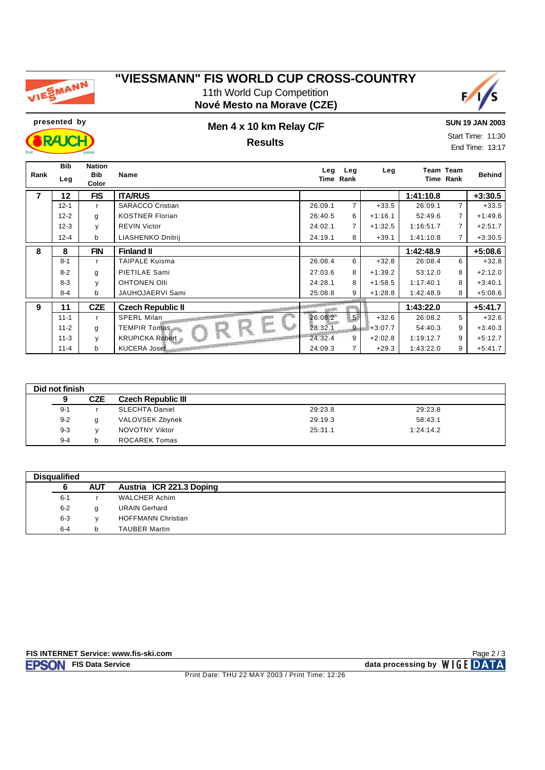

## **"VIESSMANN" FIS WORLD CUP CROSS-COUNTRY** 11th World Cup Competition





**SUN 19 JAN 2003**

**RAJC** 

### **presented by Men 4 x 10 km Relay C/F Results**

Start Time: 11:30 End Time: 13:17

| Rank           | <b>Bib</b><br>Leg | <b>Nation</b><br><b>Bib</b><br>Color | <b>Name</b>                             | Leg     | Leg<br>Time Rank | Leg       |           | Team Team<br>Time Rank | <b>Behind</b> |
|----------------|-------------------|--------------------------------------|-----------------------------------------|---------|------------------|-----------|-----------|------------------------|---------------|
| $\overline{7}$ | 12                | <b>FIS</b>                           | <b>ITA/RUS</b>                          |         |                  |           | 1:41:10.8 |                        | $+3:30.5$     |
|                | $12 - 1$          | r                                    | <b>SARACCO Cristian</b>                 | 26:09.1 | $\overline{7}$   | $+33.5$   | 26:09.1   | $\overline{7}$         | $+33.5$       |
|                | $12 - 2$          | g                                    | <b>KOSTNER Florian</b>                  | 26:40.5 | 6                | $+1:16.1$ | 52:49.6   | $\overline{7}$         | $+1:49.6$     |
|                | $12 - 3$          | у                                    | <b>REVIN Victor</b>                     | 24:02.1 | 7                | $+1:32.5$ | 1:16:51.7 | $\overline{7}$         | $+2:51.7$     |
|                | $12 - 4$          | b                                    | LIASHENKO Dnitrij                       | 24:19.1 | 8                | $+39.1$   | 1:41:10.8 | $7^{\circ}$            | $+3:30.5$     |
| 8              | 8                 | <b>FIN</b>                           | <b>Finland II</b>                       |         |                  |           | 1:42:48.9 |                        | $+5:08.6$     |
|                | $8 - 1$           | r                                    | <b>TAIPALE Kuisma</b>                   | 26:08.4 | 6                | $+32.8$   | 26:08.4   | 6                      | $+32.8$       |
|                | $8 - 2$           | g                                    | PIETILAE Sami                           | 27:03.6 | 8                | $+1:39.2$ | 53:12.0   | 8                      | $+2:12.0$     |
|                | $8 - 3$           | v                                    | <b>OHTONEN OIII</b>                     | 24:28.1 | 8                | $+1:58.5$ | 1:17:40.1 | 8                      | $+3:40.1$     |
|                | $8 - 4$           | b                                    | JAUHOJAERVI Sami                        | 25:08.8 | 9                | $+1:28.8$ | 1:42:48.9 | 8                      | $+5:08.6$     |
| 9              | 11                | <b>CZE</b>                           | <b>Czech Republic II</b>                | agadhi  |                  |           | 1:43:22.0 |                        | $+5:41.7$     |
|                | $11 - 1$          | $\mathsf{r}$                         | <b>SPERL Milan</b><br><b>LEBERS</b>     | 26:08.2 | 5                | $+32.6$   | 26:08.2   | 5 <sup>5</sup>         | $+32.6$       |
|                | $11 - 2$          | g                                    | geres.<br><b>TEMPIR Tomas.</b><br>Equat | 28:32.1 | $9 -$            | $+3:07.7$ | 54:40.3   | 9                      | $+3:40.3$     |
|                | $11 - 3$          | y                                    | <b>KRUPICKA Robert</b>                  | 24:32.4 | 9                | $+2:02.8$ | 1:19:12.7 | 9                      | $+5:12.7$     |
|                | $11 - 4$          | b                                    | KUCERA Josef                            | 24:09.3 |                  | $+29.3$   | 1:43:22.0 | 9                      | $+5:41.7$     |

| Did not finish |            |                           |         |           |  |
|----------------|------------|---------------------------|---------|-----------|--|
| 9              | <b>CZE</b> | <b>Czech Republic III</b> |         |           |  |
| $9 - 1$        |            | <b>SLECHTA Daniel</b>     | 29:23.8 | 29:23.8   |  |
| $9 - 2$        |            | VALOVSEK Zbynek           | 29:19.3 | 58:43.1   |  |
| $9 - 3$        |            | NOVOTNY Viktor            | 25:31.1 | 1:24:14.2 |  |
| $9 - 4$        |            | <b>ROCAREK Tomas</b>      |         |           |  |

| <b>Disqualified</b> |         |            |                           |
|---------------------|---------|------------|---------------------------|
|                     |         | <b>AUT</b> | Austria ICR 221.3 Doping  |
|                     | $6 - 1$ |            | <b>WALCHER Achim</b>      |
|                     | $6 - 2$ | g          | <b>URAIN Gerhard</b>      |
|                     | $6 - 3$ |            | <b>HOFFMANN Christian</b> |
|                     | $6 - 4$ | b          | <b>TAUBER Martin</b>      |

Page 2 / 3